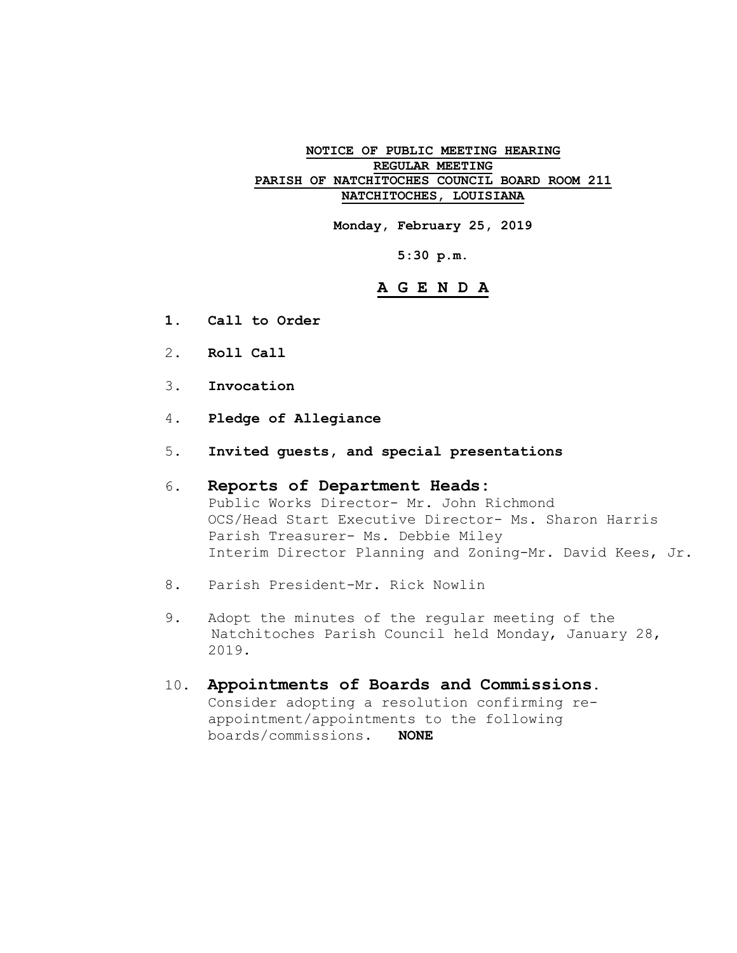#### **NOTICE OF PUBLIC MEETING HEARING REGULAR MEETING PARISH OF NATCHITOCHES COUNCIL BOARD ROOM 211 NATCHITOCHES, LOUISIANA**

**Monday, February 25, 2019**

**5:30 p.m.**

### **A G E N D A**

- **1. Call to Order**
- 2. **Roll Call**
- 3. **Invocation**
- 4. **Pledge of Allegiance**
- 5. **Invited guests, and special presentations**

#### 6. **Reports of Department Heads:** Public Works Director- Mr. John Richmond OCS/Head Start Executive Director- Ms. Sharon Harris Parish Treasurer- Ms. Debbie Miley Interim Director Planning and Zoning-Mr. David Kees, Jr.

- 8. Parish President-Mr. Rick Nowlin
- 9. Adopt the minutes of the regular meeting of the Natchitoches Parish Council held Monday, January 28, 2019.
- 10. **Appointments of Boards and Commissions**. Consider adopting a resolution confirming reappointment/appointments to the following boards/commissions. **NONE**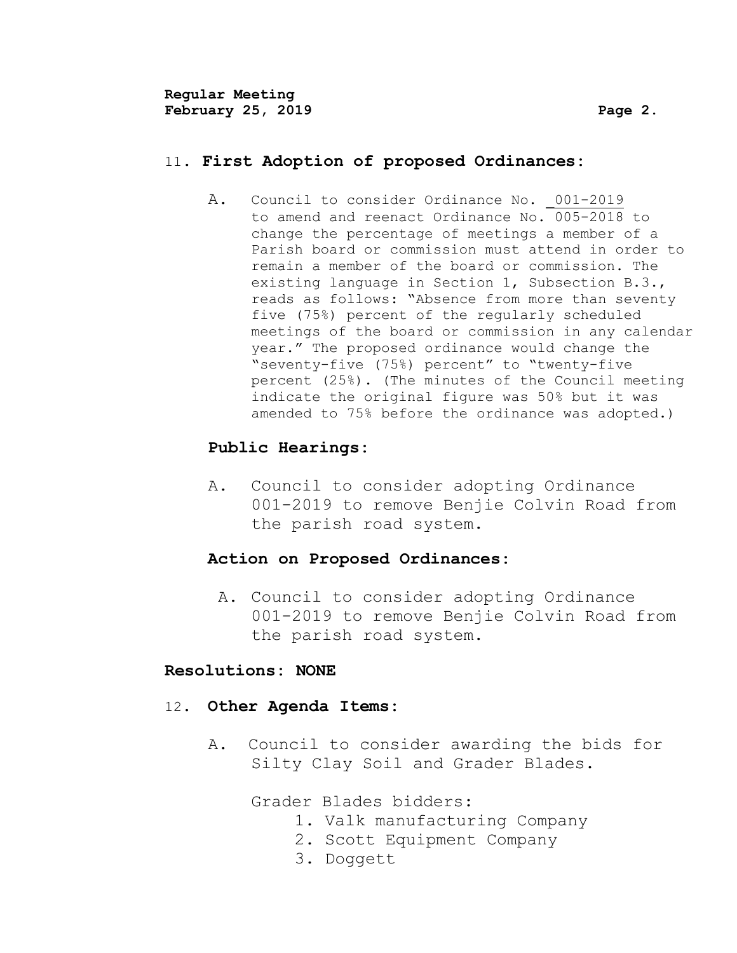# 11. **First Adoption of proposed Ordinances:**

A. Council to consider Ordinance No. 001-2019 to amend and reenact Ordinance No. 005-2018 to change the percentage of meetings a member of a Parish board or commission must attend in order to remain a member of the board or commission. The existing language in Section 1, Subsection B.3., reads as follows: "Absence from more than seventy five (75%) percent of the regularly scheduled meetings of the board or commission in any calendar year." The proposed ordinance would change the "seventy-five (75%) percent" to "twenty-five percent (25%). (The minutes of the Council meeting indicate the original figure was 50% but it was amended to 75% before the ordinance was adopted.)

# **Public Hearings:**

A. Council to consider adopting Ordinance 001-2019 to remove Benjie Colvin Road from the parish road system.

# **Action on Proposed Ordinances:**

A**.** Council to consider adopting Ordinance 001-2019 to remove Benjie Colvin Road from the parish road system.

# **Resolutions: NONE**

# 12**. Other Agenda Items:**

A. Council to consider awarding the bids for Silty Clay Soil and Grader Blades.

Grader Blades bidders:

- 1. Valk manufacturing Company
- 2. Scott Equipment Company
- 3. Doggett